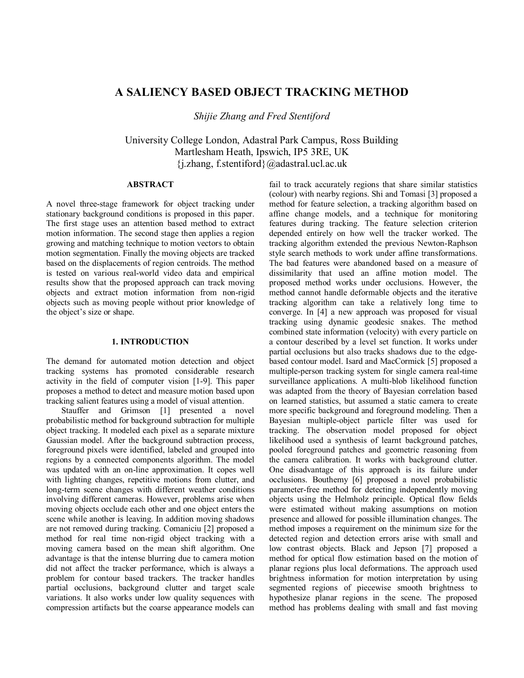# **A SALIENCY BASED OBJECT TRACKING METHOD**

*Shijie Zhang and Fred Stentiford* 

University College London, Adastral Park Campus, Ross Building Martlesham Heath, Ipswich, IP5 3RE, UK {j.zhang, f.stentiford}@adastral.ucl.ac.uk

# **ABSTRACT**

A novel three-stage framework for object tracking under stationary background conditions is proposed in this paper. The first stage uses an attention based method to extract motion information. The second stage then applies a region growing and matching technique to motion vectors to obtain motion segmentation. Finally the moving objects are tracked based on the displacements of region centroids. The method is tested on various real-world video data and empirical results show that the proposed approach can track moving objects and extract motion information from non-rigid objects such as moving people without prior knowledge of the object's size or shape.

# **1. INTRODUCTION**

The demand for automated motion detection and object tracking systems has promoted considerable research activity in the field of computer vision [1-9]. This paper proposes a method to detect and measure motion based upon tracking salient features using a model of visual attention.

Stauffer and Grimson [1] presented a novel probabilistic method for background subtraction for multiple object tracking. It modeled each pixel as a separate mixture Gaussian model. After the background subtraction process, foreground pixels were identified, labeled and grouped into regions by a connected components algorithm. The model was updated with an on-line approximation. It copes well with lighting changes, repetitive motions from clutter, and long-term scene changes with different weather conditions involving different cameras. However, problems arise when moving objects occlude each other and one object enters the scene while another is leaving. In addition moving shadows are not removed during tracking. Comaniciu [2] proposed a method for real time non-rigid object tracking with a moving camera based on the mean shift algorithm. One advantage is that the intense blurring due to camera motion did not affect the tracker performance, which is always a problem for contour based trackers. The tracker handles partial occlusions, background clutter and target scale variations. It also works under low quality sequences with compression artifacts but the coarse appearance models can

fail to track accurately regions that share similar statistics (colour) with nearby regions. Shi and Tomasi [3] proposed a method for feature selection, a tracking algorithm based on affine change models, and a technique for monitoring features during tracking. The feature selection criterion depended entirely on how well the tracker worked. The tracking algorithm extended the previous Newton-Raphson style search methods to work under affine transformations. The bad features were abandoned based on a measure of dissimilarity that used an affine motion model. The proposed method works under occlusions. However, the method cannot handle deformable objects and the iterative tracking algorithm can take a relatively long time to converge. In [4] a new approach was proposed for visual tracking using dynamic geodesic snakes. The method combined state information (velocity) with every particle on a contour described by a level set function. It works under partial occlusions but also tracks shadows due to the edgebased contour model. Isard and MacCormick [5] proposed a multiple-person tracking system for single camera real-time surveillance applications. A multi-blob likelihood function was adapted from the theory of Bayesian correlation based on learned statistics, but assumed a static camera to create more specific background and foreground modeling. Then a Bayesian multiple-object particle filter was used for tracking. The observation model proposed for object likelihood used a synthesis of learnt background patches, pooled foreground patches and geometric reasoning from the camera calibration. It works with background clutter. One disadvantage of this approach is its failure under occlusions. Bouthemy [6] proposed a novel probabilistic parameter-free method for detecting independently moving objects using the Helmholz principle. Optical flow fields were estimated without making assumptions on motion presence and allowed for possible illumination changes. The method imposes a requirement on the minimum size for the detected region and detection errors arise with small and low contrast objects. Black and Jepson [7] proposed a method for optical flow estimation based on the motion of planar regions plus local deformations. The approach used brightness information for motion interpretation by using segmented regions of piecewise smooth brightness to hypothesize planar regions in the scene. The proposed method has problems dealing with small and fast moving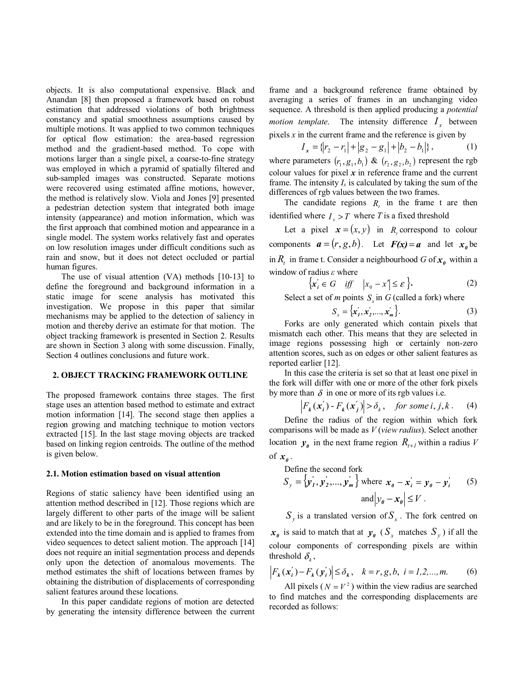objects. It is also computational expensive. Black and Anandan [8] then proposed a framework based on robust estimation that addressed violations of both brightness constancy and spatial smoothness assumptions caused by multiple motions. It was applied to two common techniques for optical flow estimation: the area-based regression method and the gradient-based method. To cope with motions larger than a single pixel, a coarse-to-fine strategy was employed in which a pyramid of spatially filtered and sub-sampled images was constructed. Separate motions were recovered using estimated affine motions, however, the method is relatively slow. Viola and Jones [9] presented a pedestrian detection system that integrated both image intensity (appearance) and motion information, which was the first approach that combined motion and appearance in a single model. The system works relatively fast and operates on low resolution images under difficult conditions such as rain and snow, but it does not detect occluded or partial human figures.

The use of visual attention (VA) methods [10-13] to define the foreground and background information in a static image for scene analysis has motivated this investigation. We propose in this paper that similar mechanisms may be applied to the detection of saliency in motion and thereby derive an estimate for that motion. The object tracking framework is presented in Section 2. Results are shown in Section 3 along with some discussion. Finally, Section 4 outlines conclusions and future work.

#### **2. OBJECT TRACKING FRAMEWORK OUTLINE**

The proposed framework contains three stages. The first stage uses an attention based method to estimate and extract motion information [14]. The second stage then applies a region growing and matching technique to motion vectors extracted [15]. In the last stage moving objects are tracked based on linking region centroids. The outline of the method is given below.

#### **2.1. Motion estimation based on visual attention**

Regions of static saliency have been identified using an attention method described in [12]. Those regions which are largely different to other parts of the image will be salient and are likely to be in the foreground. This concept has been extended into the time domain and is applied to frames from video sequences to detect salient motion. The approach [14] does not require an initial segmentation process and depends only upon the detection of anomalous movements. The method estimates the shift of locations between frames by obtaining the distribution of displacements of corresponding salient features around these locations.

In this paper candidate regions of motion are detected by generating the intensity difference between the current frame and a background reference frame obtained by averaging a series of frames in an unchanging video sequence. A threshold is then applied producing a *potential motion template.* The intensity difference  $I<sub>x</sub>$  between pixels *x* in the current frame and the reference is given by

$$
I_x = \{|r_2 - r_1| + |g_2 - g_1| + |b_2 - b_1|\},\tag{1}
$$

where parameters  $(r_1, g_1, b_1)$  &  $(r_2, g_2, b_2)$  represent the rgb colour values for pixel  $x$  in reference frame and the current frame. The intensity  $I_x$  is calculated by taking the sum of the differences of rgb values between the two frames.

The candidate regions  $R<sub>t</sub>$  in the frame t are then identified where  $I_r > T$  where *T* is a fixed threshold

Let a pixel  $\mathbf{x} = (x, y)$  in *R*, correspond to colour components  $a = (r, g, b)$ . Let  $F(x) = a$  and let  $x<sub>0</sub>$  be in  $R_t$  in frame t. Consider a neighbourhood  $G$  of  $x_a$  within a window of radius *ε* where

$$
\left\{ x_{i} \in G \quad \text{iff} \quad \left| x_{0} - x' \right| \leq \varepsilon \right\}.
$$
 (2)

Select a set of *m* points  $S<sub>x</sub>$  in *G* (called a fork) where

$$
S_x = \{x'_1, x'_2, \dots, x'_m\}.
$$
 (3)

Forks are only generated which contain pixels that mismatch each other. This means that they are selected in image regions possessing high or certainly non-zero attention scores, such as on edges or other salient features as reported earlier [12].

In this case the criteria is set so that at least one pixel in the fork will differ with one or more of the other fork pixels by more than  $\delta$  in one or more of its rgb values i.e.

$$
\left| F_k(\mathbf{x}_i') \cdot F_k(\mathbf{x}_j') \right| > \delta_k, \quad \text{for some } i, j, k. \tag{4}
$$

Define the radius of the region within which fork comparisons will be made as *V* (*view radius*). Select another location  $y_{\theta}$  in the next frame region  $R_{t+1}$  within a radius *V* of  $x_{\theta}$ .

Define the second fork  
\n
$$
S_y = \{y'_1, y'_2, ..., y'_m\} \text{ where } x_0 - x'_i = y_0 - y'_i \qquad (5)
$$
\n
$$
\text{and } |y_0 - x_0| \le V \ .
$$

 $S_y$  is a translated version of  $S_x$ . The fork centred on  $x_{\theta}$  is said to match that at  $y_{\theta}$  ( $S_x$  matches  $S_y$ ) if all the colour components of corresponding pixels are within threshold  $\delta_{\iota}$ ,

$$
\left| F_k(x_i') - F_k(y_i') \right| \le \delta_k, \quad k = r, g, b, \ i = 1, 2, ..., m. \tag{6}
$$

All pixels ( $N = V^2$ ) within the view radius are searched to find matches and the corresponding displacements are recorded as follows: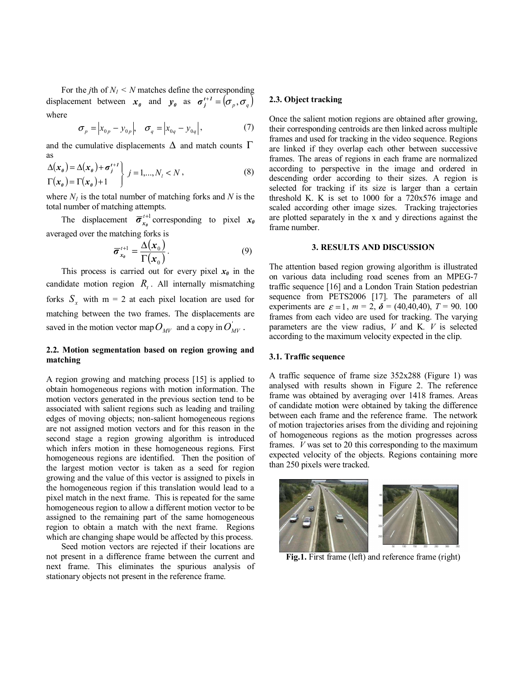For the *j*th of  $N_l$  < *N* matches define the corresponding displacement between  $x_0$  and  $y_0$  as  $\sigma_j^{t+1} = (\sigma_p, \sigma_q)$ where

$$
\sigma_p = |x_{0p} - y_{0p}|, \quad \sigma_q = |x_{0q} - y_{0q}|,
$$
 (7)

and the cumulative displacements  $\Delta$  and match counts  $\Gamma$ as

$$
\Delta(\mathbf{x}_\theta) = \Delta(\mathbf{x}_\theta) + \sigma_j^{t+1} \}, j = 1, ..., N_t < N \,,
$$
\n
$$
\Gamma(\mathbf{x}_\theta) = \Gamma(\mathbf{x}_\theta) + 1 \tag{8}
$$

where  $N<sub>I</sub>$  is the total number of matching forks and  $N$  is the total number of matching attempts.

The displacement  $\overline{\sigma}_{x_0}^{t+1}$  corresponding to pixel  $x_0$ averaged over the matching forks is

$$
\overline{\sigma}_{x_{\theta}}^{t+1} = \frac{\Delta(x_0)}{\Gamma(x_0)}.
$$
\n(9)

This process is carried out for every pixel  $x_0$  in the candidate motion region  $R_t$ . All internally mismatching forks  $S_r$  with m = 2 at each pixel location are used for matching between the two frames. The displacements are saved in the motion vector map  $O_{MV}$  and a copy in  $O_{MV}$ .

# **2.2. Motion segmentation based on region growing and matching**

A region growing and matching process [15] is applied to obtain homogeneous regions with motion information. The motion vectors generated in the previous section tend to be associated with salient regions such as leading and trailing edges of moving objects; non-salient homogeneous regions are not assigned motion vectors and for this reason in the second stage a region growing algorithm is introduced which infers motion in these homogeneous regions. First homogeneous regions are identified. Then the position of the largest motion vector is taken as a seed for region growing and the value of this vector is assigned to pixels in the homogeneous region if this translation would lead to a pixel match in the next frame. This is repeated for the same homogeneous region to allow a different motion vector to be assigned to the remaining part of the same homogeneous region to obtain a match with the next frame. Regions which are changing shape would be affected by this process.

Seed motion vectors are rejected if their locations are not present in a difference frame between the current and next frame. This eliminates the spurious analysis of stationary objects not present in the reference frame.

#### **2.3. Object tracking**

Once the salient motion regions are obtained after growing, their corresponding centroids are then linked across multiple frames and used for tracking in the video sequence. Regions are linked if they overlap each other between successive frames. The areas of regions in each frame are normalized according to perspective in the image and ordered in descending order according to their sizes. A region is selected for tracking if its size is larger than a certain threshold K. K is set to 1000 for a 720x576 image and scaled according other image sizes. Tracking trajectories are plotted separately in the x and y directions against the frame number.

## **3. RESULTS AND DISCUSSION**

The attention based region growing algorithm is illustrated on various data including road scenes from an MPEG-7 traffic sequence [16] and a London Train Station pedestrian sequence from PETS2006 [17]. The parameters of all experiments are  $\varepsilon = 1$ ,  $m = 2$ ,  $\delta = (40, 40, 40)$ ,  $T = 90$ . 100 frames from each video are used for tracking. The varying parameters are the view radius, *V* and K*. V* is selected according to the maximum velocity expected in the clip.

#### **3.1. Traffic sequence**

A traffic sequence of frame size 352x288 (Figure 1) was analysed with results shown in Figure 2. The reference frame was obtained by averaging over 1418 frames. Areas of candidate motion were obtained by taking the difference between each frame and the reference frame. The network of motion trajectories arises from the dividing and rejoining of homogeneous regions as the motion progresses across frames. *V* was set to 20 this corresponding to the maximum expected velocity of the objects. Regions containing more than 250 pixels were tracked.



**Fig.1.** First frame (left) and reference frame (right)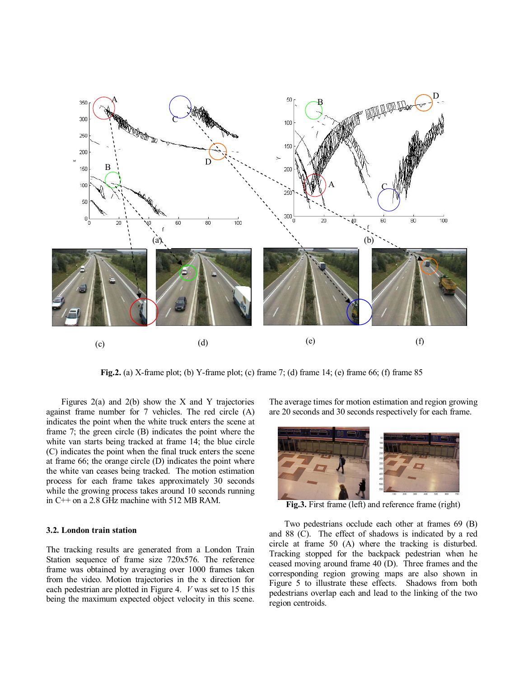

**Fig.2.** (a) X-frame plot; (b) Y-frame plot; (c) frame 7; (d) frame 14; (e) frame 66; (f) frame 85

Figures  $2(a)$  and  $2(b)$  show the X and Y trajectories against frame number for 7 vehicles. The red circle (A) indicates the point when the white truck enters the scene at frame 7; the green circle (B) indicates the point where the white van starts being tracked at frame 14; the blue circle (C) indicates the point when the final truck enters the scene at frame 66; the orange circle (D) indicates the point where the white van ceases being tracked. The motion estimation process for each frame takes approximately 30 seconds while the growing process takes around 10 seconds running in C++ on a 2.8 GHz machine with 512 MB RAM.

## **3.2. London train station**

The tracking results are generated from a London Train Station sequence of frame size 720x576. The reference frame was obtained by averaging over 1000 frames taken from the video. Motion trajectories in the x direction for each pedestrian are plotted in Figure 4. *V* was set to 15 this being the maximum expected object velocity in this scene.

The average times for motion estimation and region growing are 20 seconds and 30 seconds respectively for each frame.



**Fig.3.** First frame (left) and reference frame (right)

Two pedestrians occlude each other at frames 69 (B) and 88 (C). The effect of shadows is indicated by a red circle at frame 50 (A) where the tracking is disturbed. Tracking stopped for the backpack pedestrian when he ceased moving around frame 40 (D). Three frames and the corresponding region growing maps are also shown in Figure 5 to illustrate these effects. Shadows from both pedestrians overlap each and lead to the linking of the two region centroids.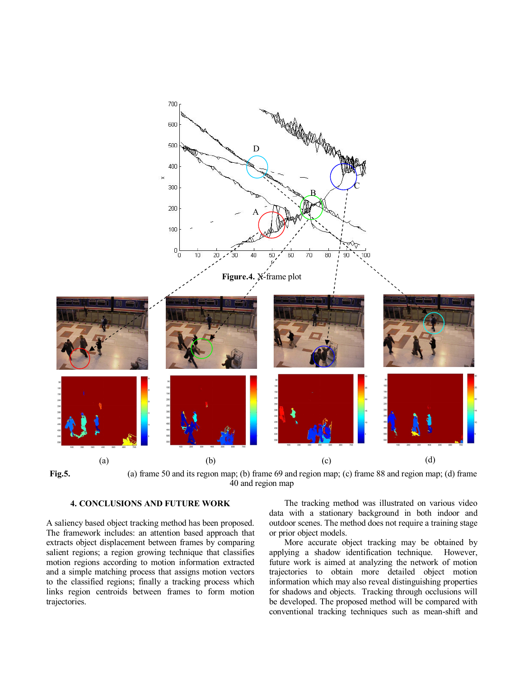



**Fig.5.** (a) frame 50 and its region map; (b) frame 69 and region map; (c) frame 88 and region map; (d) frame 40 and region map

# **4. CONCLUSIONS AND FUTURE WORK**

A saliency based object tracking method has been proposed. The framework includes: an attention based approach that extracts object displacement between frames by comparing salient regions; a region growing technique that classifies motion regions according to motion information extracted and a simple matching process that assigns motion vectors to the classified regions; finally a tracking process which links region centroids between frames to form motion trajectories.

The tracking method was illustrated on various video data with a stationary background in both indoor and outdoor scenes. The method does not require a training stage or prior object models.

More accurate object tracking may be obtained by applying a shadow identification technique. However, future work is aimed at analyzing the network of motion trajectories to obtain more detailed object motion information which may also reveal distinguishing properties for shadows and objects. Tracking through occlusions will be developed. The proposed method will be compared with conventional tracking techniques such as mean-shift and